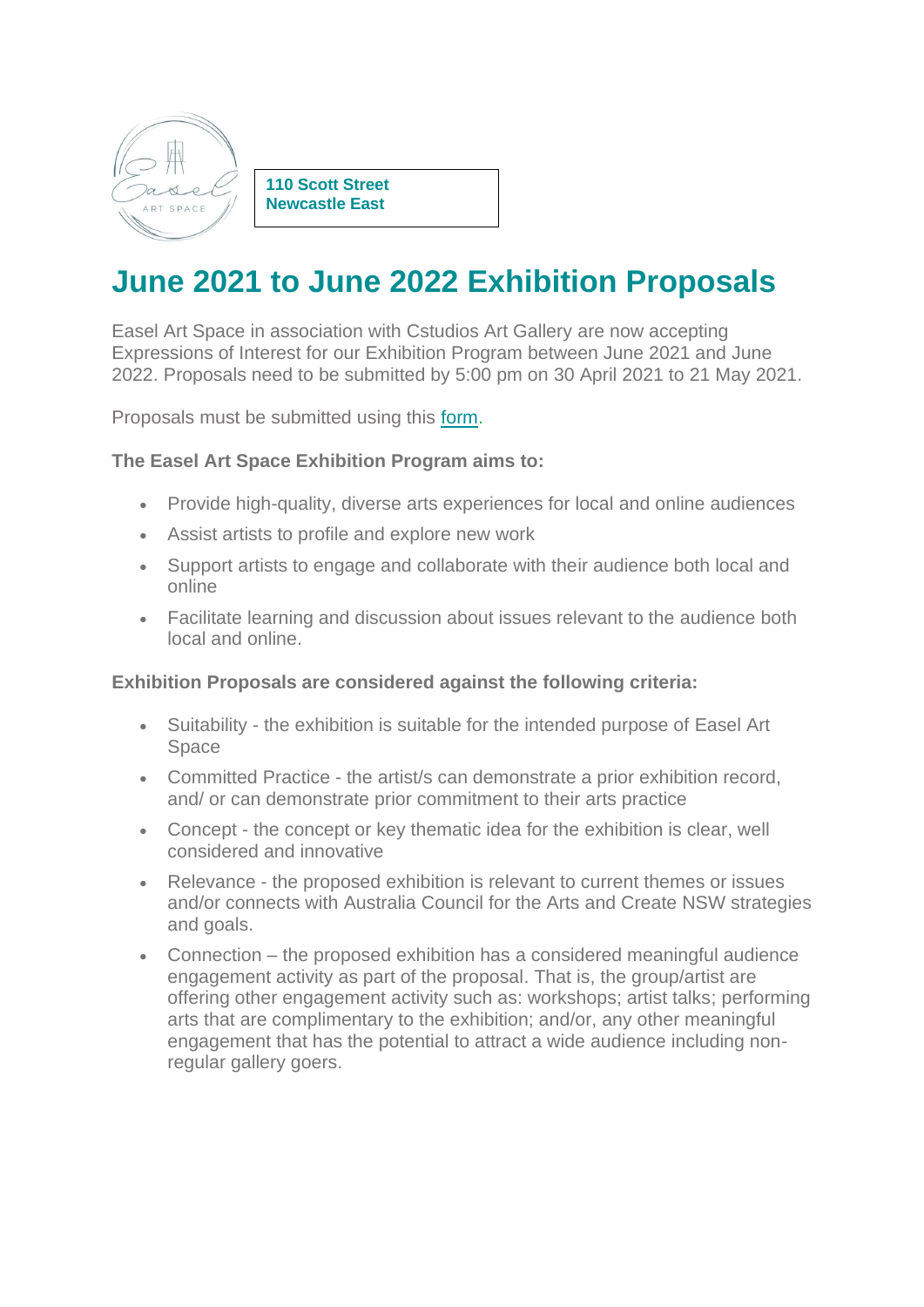

**110 Scott Street Newcastle East**

# **June 2021 to June 2022 Exhibition Proposals**

Easel Art Space in association with Cstudios Art Gallery are now accepting Expressions of Interest for our Exhibition Program between June 2021 and June 2022. Proposals need to be submitted by 5:00 pm on 30 April 2021 to 21 May 2021.

Proposals must be submitted using this [form.](https://www.easel-art-space.com/copy-of-easel-art-space)

## **The Easel Art Space Exhibition Program aims to:**

- Provide high-quality, diverse arts experiences for local and online audiences
- Assist artists to profile and explore new work
- Support artists to engage and collaborate with their audience both local and online
- Facilitate learning and discussion about issues relevant to the audience both local and online.

#### **Exhibition Proposals are considered against the following criteria:**

- Suitability the exhibition is suitable for the intended purpose of Easel Art Space
- Committed Practice the artist/s can demonstrate a prior exhibition record, and/ or can demonstrate prior commitment to their arts practice
- Concept the concept or key thematic idea for the exhibition is clear, well considered and innovative
- Relevance the proposed exhibition is relevant to current themes or issues and/or connects with Australia Council for the Arts and Create NSW strategies and goals.
- Connection the proposed exhibition has a considered meaningful audience engagement activity as part of the proposal. That is, the group/artist are offering other engagement activity such as: workshops; artist talks; performing arts that are complimentary to the exhibition; and/or, any other meaningful engagement that has the potential to attract a wide audience including nonregular gallery goers.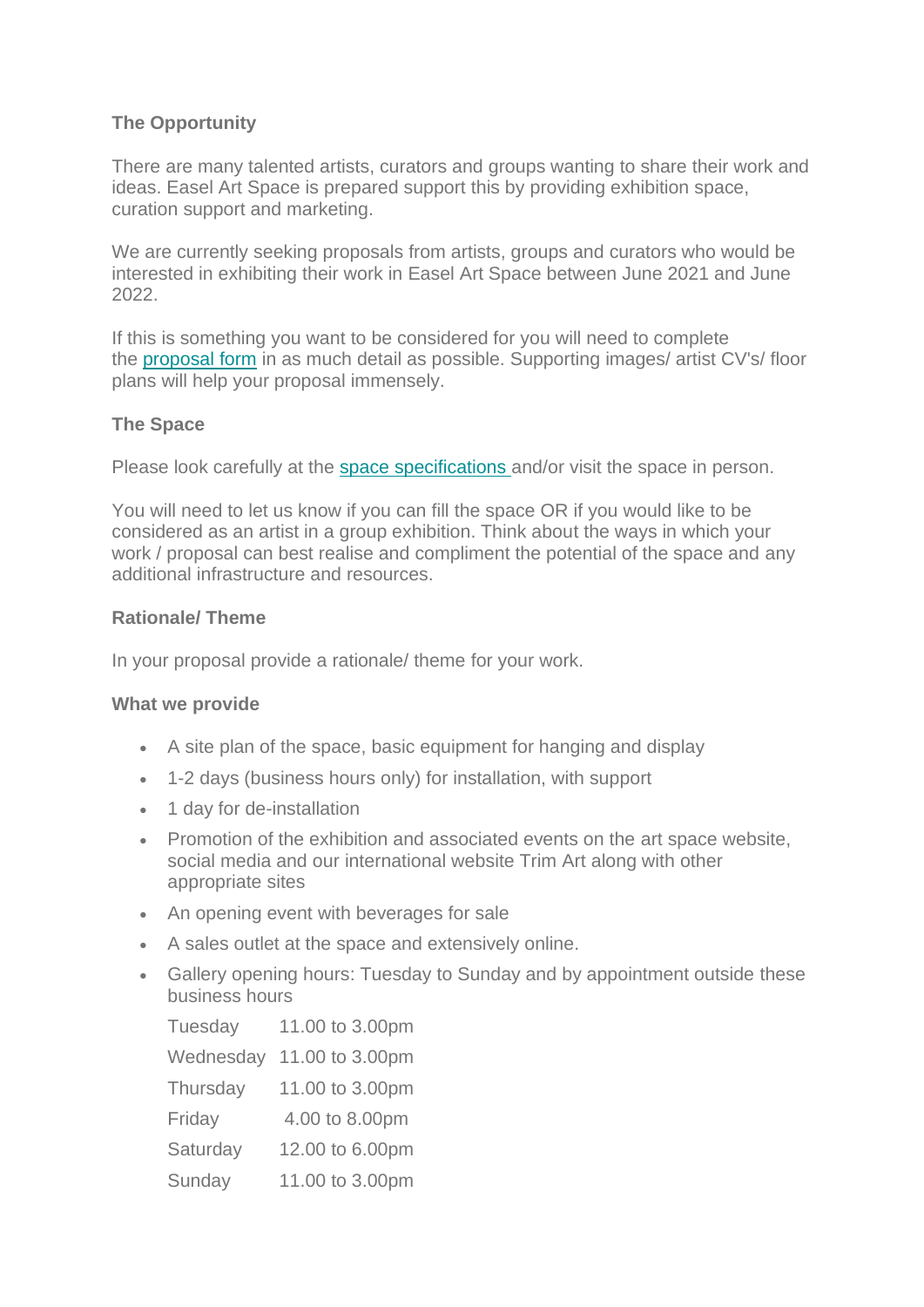# **The Opportunity**

There are many talented artists, curators and groups wanting to share their work and ideas. Easel Art Space is prepared support this by providing exhibition space, curation support and marketing.

We are currently seeking proposals from artists, groups and curators who would be interested in exhibiting their work in Easel Art Space between June 2021 and June 2022.

If this is something you want to be considered for you will need to complete the [proposal form](https://www.easel-art-space.com/exhibition-proposal) in as much detail as possible. Supporting images/ artist CV's/ floor plans will help your proposal immensely.

#### **The Space**

Please look carefully at the [space specifications](https://www.easel-art-space.com/floor-plan) and/or visit the space in person.

You will need to let us know if you can fill the space OR if you would like to be considered as an artist in a group exhibition. Think about the ways in which your work / proposal can best realise and compliment the potential of the space and any additional infrastructure and resources.

#### **Rationale/ Theme**

In your proposal provide a rationale/ theme for your work.

#### **What we provide**

- A site plan of the space, basic equipment for hanging and display
- 1-2 days (business hours only) for installation, with support
- 1 day for de-installation
- Promotion of the exhibition and associated events on the art space website, social media and our international website Trim Art along with other appropriate sites
- An opening event with beverages for sale
- A sales outlet at the space and extensively online.
- Gallery opening hours: Tuesday to Sunday and by appointment outside these business hours

| Tuesday   | 11.00 to 3.00pm |
|-----------|-----------------|
| Wednesday | 11.00 to 3.00pm |
| Thursday  | 11.00 to 3.00pm |
| Friday    | 4.00 to 8.00pm  |
| Saturday  | 12.00 to 6.00pm |
| Sunday    | 11.00 to 3.00pm |